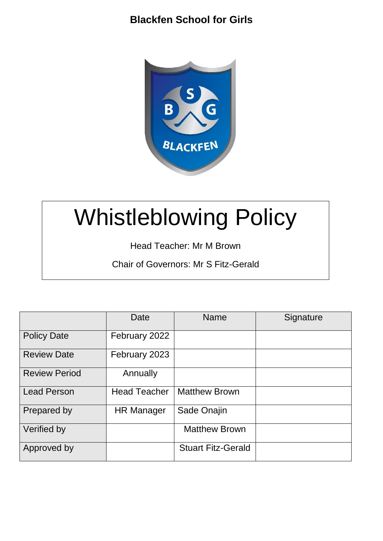

# Whistleblowing Policy

Head Teacher: Mr M Brown

Chair of Governors: Mr S Fitz-Gerald

|                      | Date                | <b>Name</b>               | Signature |
|----------------------|---------------------|---------------------------|-----------|
| <b>Policy Date</b>   | February 2022       |                           |           |
| <b>Review Date</b>   | February 2023       |                           |           |
| <b>Review Period</b> | Annually            |                           |           |
| <b>Lead Person</b>   | <b>Head Teacher</b> | <b>Matthew Brown</b>      |           |
| Prepared by          | <b>HR Manager</b>   | Sade Onajin               |           |
| Verified by          |                     | <b>Matthew Brown</b>      |           |
| Approved by          |                     | <b>Stuart Fitz-Gerald</b> |           |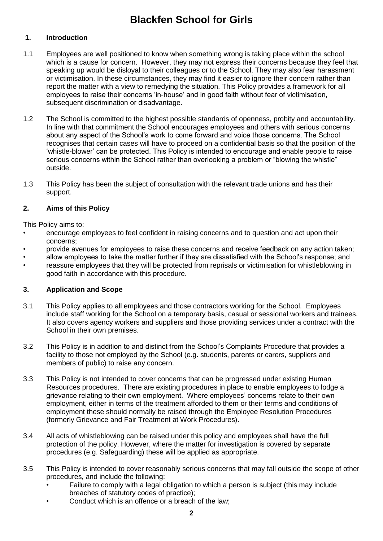# **1. Introduction**

- 1.1 Employees are well positioned to know when something wrong is taking place within the school which is a cause for concern. However, they may not express their concerns because they feel that speaking up would be disloyal to their colleagues or to the School. They may also fear harassment or victimisation. In these circumstances, they may find it easier to ignore their concern rather than report the matter with a view to remedying the situation. This Policy provides a framework for all employees to raise their concerns 'in-house' and in good faith without fear of victimisation, subsequent discrimination or disadvantage.
- 1.2 The School is committed to the highest possible standards of openness, probity and accountability. In line with that commitment the School encourages employees and others with serious concerns about any aspect of the School's work to come forward and voice those concerns. The School recognises that certain cases will have to proceed on a confidential basis so that the position of the 'whistle-blower' can be protected. This Policy is intended to encourage and enable people to raise serious concerns within the School rather than overlooking a problem or "blowing the whistle" outside.
- 1.3 This Policy has been the subject of consultation with the relevant trade unions and has their support.

# **2. Aims of this Policy**

This Policy aims to:

- encourage employees to feel confident in raising concerns and to question and act upon their concerns;
- provide avenues for employees to raise these concerns and receive feedback on any action taken;
- allow employees to take the matter further if they are dissatisfied with the School's response; and
- reassure employees that they will be protected from reprisals or victimisation for whistleblowing in good faith in accordance with this procedure.

# **3. Application and Scope**

- 3.1 This Policy applies to all employees and those contractors working for the School. Employees include staff working for the School on a temporary basis, casual or sessional workers and trainees. It also covers agency workers and suppliers and those providing services under a contract with the School in their own premises.
- 3.2 This Policy is in addition to and distinct from the School's Complaints Procedure that provides a facility to those not employed by the School (e.g. students, parents or carers, suppliers and members of public) to raise any concern.
- 3.3 This Policy is not intended to cover concerns that can be progressed under existing Human Resources procedures. There are existing procedures in place to enable employees to lodge a grievance relating to their own employment. Where employees' concerns relate to their own employment, either in terms of the treatment afforded to them or their terms and conditions of employment these should normally be raised through the Employee Resolution Procedures (formerly Grievance and Fair Treatment at Work Procedures).
- 3.4 All acts of whistleblowing can be raised under this policy and employees shall have the full protection of the policy. However, where the matter for investigation is covered by separate procedures (e.g. Safeguarding) these will be applied as appropriate.
- 3.5 This Policy is intended to cover reasonably serious concerns that may fall outside the scope of other procedures, and include the following:
	- Failure to comply with a legal obligation to which a person is subject (this may include breaches of statutory codes of practice);
	- Conduct which is an offence or a breach of the law: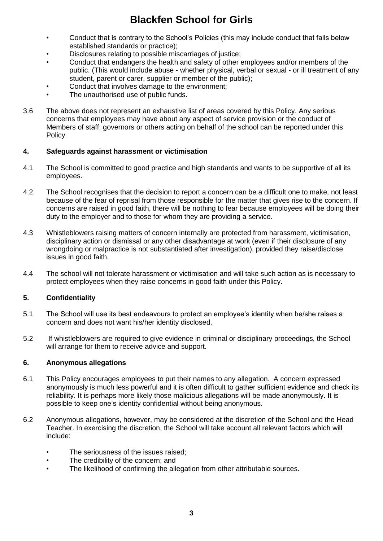- Conduct that is contrary to the School's Policies (this may include conduct that falls below established standards or practice);
- Disclosures relating to possible miscarriages of justice;
- Conduct that endangers the health and safety of other employees and/or members of the public. (This would include abuse - whether physical, verbal or sexual - or ill treatment of any student, parent or carer, supplier or member of the public);
- Conduct that involves damage to the environment;
- The unauthorised use of public funds.
- 3.6 The above does not represent an exhaustive list of areas covered by this Policy. Any serious concerns that employees may have about any aspect of service provision or the conduct of Members of staff, governors or others acting on behalf of the school can be reported under this Policy.

## **4. Safeguards against harassment or victimisation**

- 4.1 The School is committed to good practice and high standards and wants to be supportive of all its employees.
- 4.2 The School recognises that the decision to report a concern can be a difficult one to make, not least because of the fear of reprisal from those responsible for the matter that gives rise to the concern. If concerns are raised in good faith, there will be nothing to fear because employees will be doing their duty to the employer and to those for whom they are providing a service.
- 4.3 Whistleblowers raising matters of concern internally are protected from harassment, victimisation, disciplinary action or dismissal or any other disadvantage at work (even if their disclosure of any wrongdoing or malpractice is not substantiated after investigation), provided they raise/disclose issues in good faith.
- 4.4 The school will not tolerate harassment or victimisation and will take such action as is necessary to protect employees when they raise concerns in good faith under this Policy.

# **5. Confidentiality**

- 5.1 The School will use its best endeavours to protect an employee's identity when he/she raises a concern and does not want his/her identity disclosed.
- 5.2 If whistleblowers are required to give evidence in criminal or disciplinary proceedings, the School will arrange for them to receive advice and support.

### **6. Anonymous allegations**

- 6.1 This Policy encourages employees to put their names to any allegation. A concern expressed anonymously is much less powerful and it is often difficult to gather sufficient evidence and check its reliability. It is perhaps more likely those malicious allegations will be made anonymously. It is possible to keep one's identity confidential without being anonymous.
- 6.2 Anonymous allegations, however, may be considered at the discretion of the School and the Head Teacher. In exercising the discretion, the School will take account all relevant factors which will include:
	- The seriousness of the issues raised;
	- The credibility of the concern; and
	- The likelihood of confirming the allegation from other attributable sources.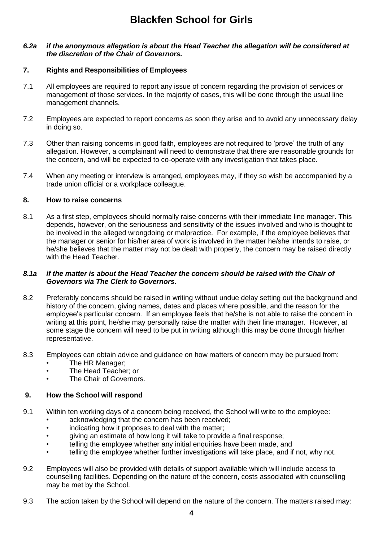### *6.2a if the anonymous allegation is about the Head Teacher the allegation will be considered at the discretion of the Chair of Governors.*

### **7. Rights and Responsibilities of Employees**

- 7.1 All employees are required to report any issue of concern regarding the provision of services or management of those services. In the majority of cases, this will be done through the usual line management channels.
- 7.2 Employees are expected to report concerns as soon they arise and to avoid any unnecessary delay in doing so.
- 7.3 Other than raising concerns in good faith, employees are not required to 'prove' the truth of any allegation. However, a complainant will need to demonstrate that there are reasonable grounds for the concern, and will be expected to co-operate with any investigation that takes place.
- 7.4 When any meeting or interview is arranged, employees may, if they so wish be accompanied by a trade union official or a workplace colleague.

### **8. How to raise concerns**

8.1 As a first step, employees should normally raise concerns with their immediate line manager. This depends, however, on the seriousness and sensitivity of the issues involved and who is thought to be involved in the alleged wrongdoing or malpractice. For example, if the employee believes that the manager or senior for his/her area of work is involved in the matter he/she intends to raise, or he/she believes that the matter may not be dealt with properly, the concern may be raised directly with the Head Teacher.

#### *8.1a if the matter is about the Head Teacher the concern should be raised with the Chair of Governors via The Clerk to Governors.*

- 8.2 Preferably concerns should be raised in writing without undue delay setting out the background and history of the concern, giving names, dates and places where possible, and the reason for the employee's particular concern. If an employee feels that he/she is not able to raise the concern in writing at this point, he/she may personally raise the matter with their line manager. However, at some stage the concern will need to be put in writing although this may be done through his/her representative.
- 8.3 Employees can obtain advice and guidance on how matters of concern may be pursued from:
	- The HR Manager;
	- The Head Teacher; or
	- The Chair of Governors.

### **9. How the School will respond**

- 9.1 Within ten working days of a concern being received, the School will write to the employee:
	- acknowledging that the concern has been received:
	- indicating how it proposes to deal with the matter:
	- giving an estimate of how long it will take to provide a final response;
	- telling the employee whether any initial enquiries have been made, and
	- telling the employee whether further investigations will take place, and if not, why not.
- 9.2 Employees will also be provided with details of support available which will include access to counselling facilities. Depending on the nature of the concern, costs associated with counselling may be met by the School.
- 9.3 The action taken by the School will depend on the nature of the concern. The matters raised may: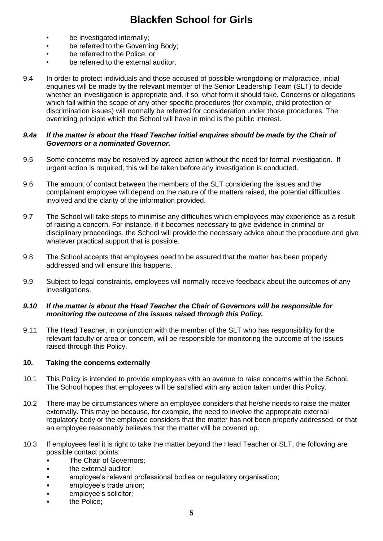- be investigated internally;
- be referred to the Governing Body;
- be referred to the Police: or
- be referred to the external auditor.
- 9.4 In order to protect individuals and those accused of possible wrongdoing or malpractice, initial enquiries will be made by the relevant member of the Senior Leadership Team (SLT) to decide whether an investigation is appropriate and, if so, what form it should take. Concerns or allegations which fall within the scope of any other specific procedures (for example, child protection or discrimination issues) will normally be referred for consideration under those procedures. The overriding principle which the School will have in mind is the public interest.

### *9.4a If the matter is about the Head Teacher initial enquires should be made by the Chair of Governors or a nominated Governor.*

- 9.5 Some concerns may be resolved by agreed action without the need for formal investigation. If urgent action is required, this will be taken before any investigation is conducted.
- 9.6 The amount of contact between the members of the SLT considering the issues and the complainant employee will depend on the nature of the matters raised, the potential difficulties involved and the clarity of the information provided.
- 9.7 The School will take steps to minimise any difficulties which employees may experience as a result of raising a concern. For instance, if it becomes necessary to give evidence in criminal or disciplinary proceedings, the School will provide the necessary advice about the procedure and give whatever practical support that is possible.
- 9.8 The School accepts that employees need to be assured that the matter has been properly addressed and will ensure this happens.
- 9.9 Subject to legal constraints, employees will normally receive feedback about the outcomes of any investigations.

### *9.10 If the matter is about the Head Teacher the Chair of Governors will be responsible for monitoring the outcome of the issues raised through this Policy.*

9.11 The Head Teacher, in conjunction with the member of the SLT who has responsibility for the relevant faculty or area or concern, will be responsible for monitoring the outcome of the issues raised through this Policy.

# **10. Taking the concerns externally**

- 10.1 This Policy is intended to provide employees with an avenue to raise concerns within the School. The School hopes that employees will be satisfied with any action taken under this Policy.
- 10.2 There may be circumstances where an employee considers that he/she needs to raise the matter externally. This may be because, for example, the need to involve the appropriate external regulatory body or the employee considers that the matter has not been properly addressed, or that an employee reasonably believes that the matter will be covered up.
- 10.3 If employees feel it is right to take the matter beyond the Head Teacher or SLT, the following are possible contact points:
	- The Chair of Governors;
	- the external auditor:
	- employee's relevant professional bodies or regulatory organisation;
	- employee's trade union:
	- employee's solicitor:
	- the Police;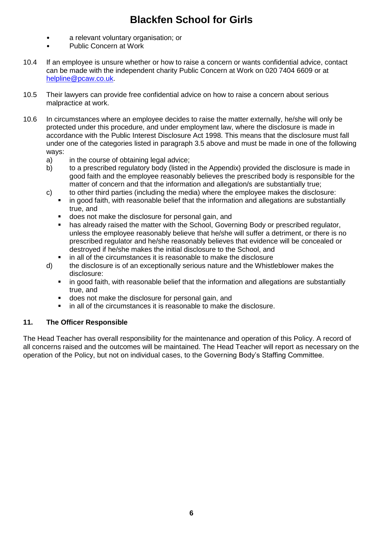- a relevant voluntary organisation; or
- Public Concern at Work
- 10.4 If an employee is unsure whether or how to raise a concern or wants confidential advice, contact can be made with the independent charity Public Concern at Work on 020 7404 6609 or at [helpline@pcaw.co.uk.](mailto:helpline@pcaw.co.uk)
- 10.5 Their lawyers can provide free confidential advice on how to raise a concern about serious malpractice at work.
- 10.6 In circumstances where an employee decides to raise the matter externally, he/she will only be protected under this procedure, and under employment law, where the disclosure is made in accordance with the Public Interest Disclosure Act 1998. This means that the disclosure must fall under one of the categories listed in paragraph 3.5 above and must be made in one of the following ways:
	- a) in the course of obtaining legal advice;
	- b) to a prescribed regulatory body (listed in the Appendix) provided the disclosure is made in good faith and the employee reasonably believes the prescribed body is responsible for the matter of concern and that the information and allegation/s are substantially true;
	- c) to other third parties (including the media) where the employee makes the disclosure: in good faith, with reasonable belief that the information and allegations are substantially true, and
		- does not make the disclosure for personal gain, and
		- has already raised the matter with the School, Governing Body or prescribed regulator, unless the employee reasonably believe that he/she will suffer a detriment, or there is no prescribed regulator and he/she reasonably believes that evidence will be concealed or destroyed if he/she makes the initial disclosure to the School, and
		- in all of the circumstances it is reasonable to make the disclosure
	- d) the disclosure is of an exceptionally serious nature and the Whistleblower makes the disclosure:
		- in good faith, with reasonable belief that the information and allegations are substantially true, and
		- does not make the disclosure for personal gain, and
		- **i** in all of the circumstances it is reasonable to make the disclosure.

# **11. The Officer Responsible**

The Head Teacher has overall responsibility for the maintenance and operation of this Policy. A record of all concerns raised and the outcomes will be maintained. The Head Teacher will report as necessary on the operation of the Policy, but not on individual cases, to the Governing Body's Staffing Committee.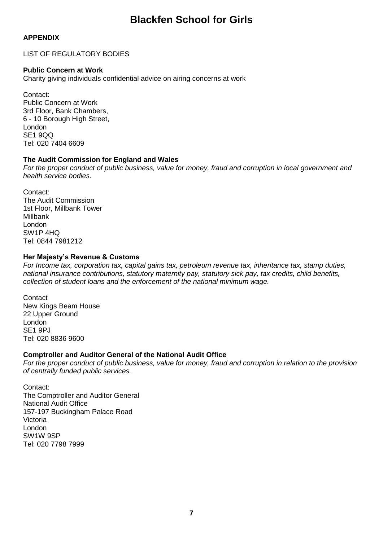# **APPENDIX**

LIST OF REGULATORY BODIES

### **Public Concern at Work**

Charity giving individuals confidential advice on airing concerns at work

Contact: Public Concern at Work 3rd Floor, Bank Chambers, 6 - 10 Borough High Street, London SE1 9QQ Tel: 020 7404 6609

## **The Audit Commission for England and Wales**

*For the proper conduct of public business, value for money, fraud and corruption in local government and health service bodies.*

Contact: The Audit Commission 1st Floor, Millbank Tower Millbank London SW1P 4HQ Tel: 0844 7981212

## **Her Majesty's Revenue & Customs**

*For Income tax, corporation tax, capital gains tax, petroleum revenue tax, inheritance tax, stamp duties, national insurance contributions, statutory maternity pay, statutory sick pay, tax credits, child benefits, collection of student loans and the enforcement of the national minimum wage.*

**Contact** New Kings Beam House 22 Upper Ground London SE1 9PJ Tel: 020 8836 9600

### **Comptroller and Auditor General of the National Audit Office**

*For the proper conduct of public business, value for money, fraud and corruption in relation to the provision of centrally funded public services.*

Contact: The Comptroller and Auditor General National Audit Office 157-197 Buckingham Palace Road Victoria London SW1W 9SP Tel: 020 7798 7999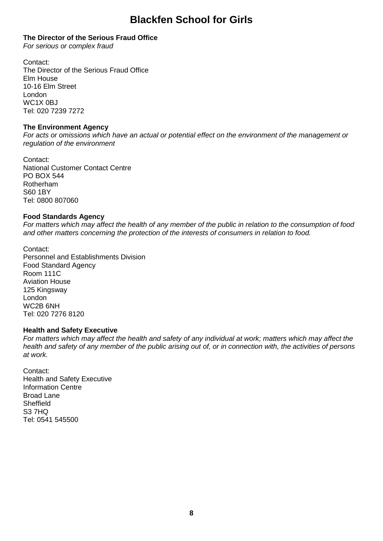### **The Director of the Serious Fraud Office**

*For serious or complex fraud*

Contact: The Director of the Serious Fraud Office Elm House 10-16 Elm Street London WC1X 0BJ Tel: 020 7239 7272

### **The Environment Agency**

*For acts or omissions which have an actual or potential effect on the environment of the management or regulation of the environment*

Contact: National Customer Contact Centre PO BOX 544 Rotherham S60 1BY Tel: 0800 807060

## **Food Standards Agency**

*For matters which may affect the health of any member of the public in relation to the consumption of food and other matters concerning the protection of the interests of consumers in relation to food.*

Contact: Personnel and Establishments Division Food Standard Agency Room 111C Aviation House 125 Kingsway London WC2B 6NH Tel: 020 7276 8120

### **Health and Safety Executive**

*For matters which may affect the health and safety of any individual at work; matters which may affect the health and safety of any member of the public arising out of, or in connection with, the activities of persons at work.*

Contact: Health and Safety Executive Information Centre Broad Lane Sheffield S3 7HQ Tel: 0541 545500